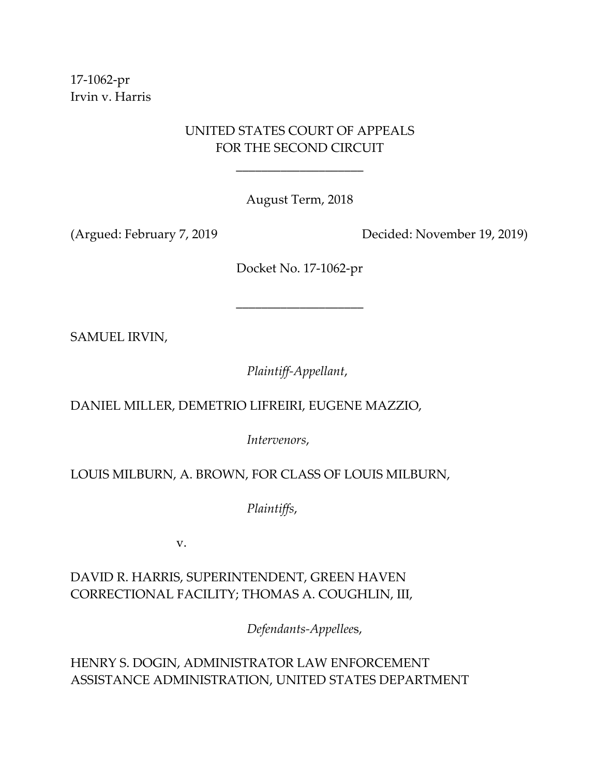17‐1062‐pr Irvin v. Harris

# UNITED STATES COURT OF APPEALS FOR THE SECOND CIRCUIT

\_\_\_\_\_\_\_\_\_\_\_\_\_\_\_\_\_\_\_\_

August Term, 2018

(Argued: February 7, 2019 Decided: November 19, 2019)

Docket No. 17‐1062‐pr

\_\_\_\_\_\_\_\_\_\_\_\_\_\_\_\_\_\_\_\_

SAMUEL IRVIN,

*Plaintiff‐Appellant*,

DANIEL MILLER, DEMETRIO LIFREIRI, EUGENE MAZZIO,

*Intervenors*,

LOUIS MILBURN, A. BROWN, FOR CLASS OF LOUIS MILBURN,

*Plaintiffs*,

v.

DAVID R. HARRIS, SUPERINTENDENT, GREEN HAVEN CORRECTIONAL FACILITY; THOMAS A. COUGHLIN, III,

 *Defendants‐Appellee*s,

HENRY S. DOGIN, ADMINISTRATOR LAW ENFORCEMENT ASSISTANCE ADMINISTRATION, UNITED STATES DEPARTMENT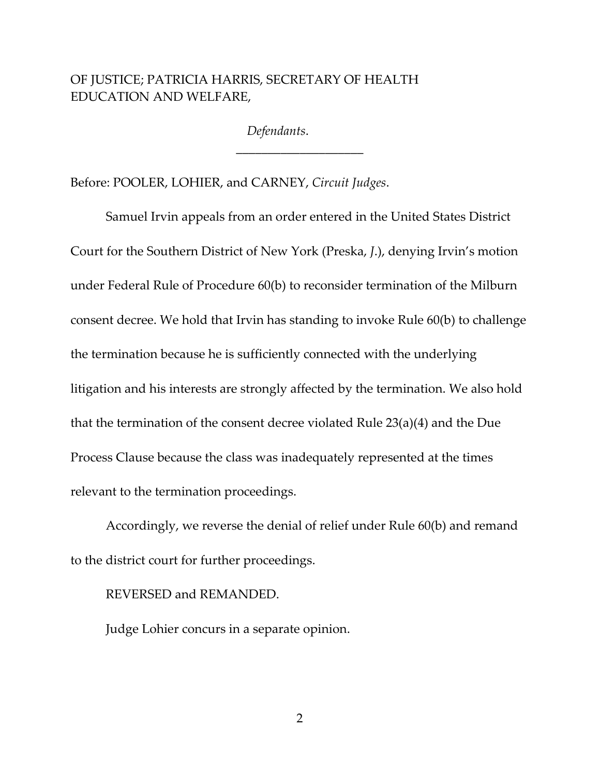## OF JUSTICE; PATRICIA HARRIS, SECRETARY OF HEALTH EDUCATION AND WELFARE,

*Defendants*.

\_\_\_\_\_\_\_\_\_\_\_\_\_\_\_\_\_\_\_\_

Before: POOLER, LOHIER, and CARNEY, *Circuit Judges*.

Samuel Irvin appeals from an order entered in the United States District Court for the Southern District of New York (Preska, *J*.), denying Irvin's motion under Federal Rule of Procedure 60(b) to reconsider termination of the Milburn consent decree. We hold that Irvin has standing to invoke Rule 60(b) to challenge the termination because he is sufficiently connected with the underlying litigation and his interests are strongly affected by the termination. We also hold that the termination of the consent decree violated Rule 23(a)(4) and the Due Process Clause because the class was inadequately represented at the times relevant to the termination proceedings.

Accordingly, we reverse the denial of relief under Rule 60(b) and remand to the district court for further proceedings.

#### REVERSED and REMANDED.

Judge Lohier concurs in a separate opinion.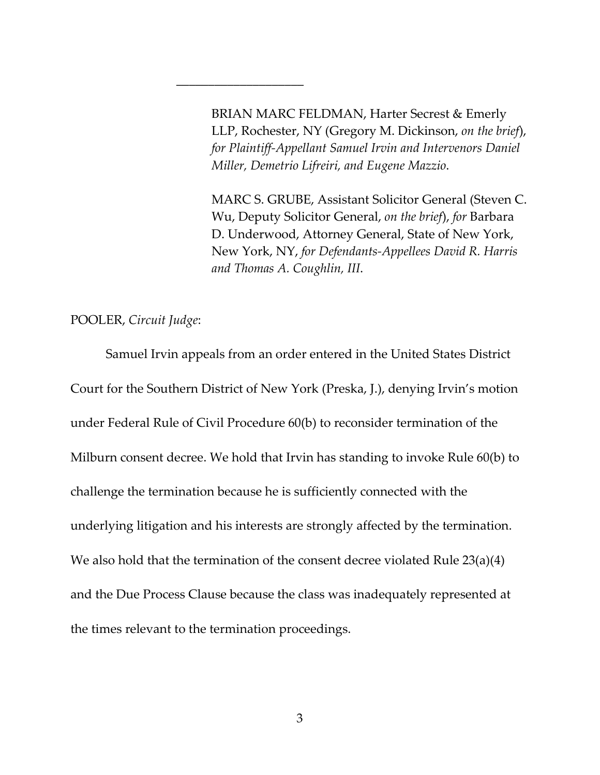BRIAN MARC FELDMAN, Harter Secrest & Emerly LLP, Rochester, NY (Gregory M. Dickinson, *on the brief*), *for Plaintiff‐Appellant Samuel Irvin and Intervenors Daniel Miller, Demetrio Lifreiri, and Eugene Mazzio*.

MARC S. GRUBE, Assistant Solicitor General (Steven C. Wu, Deputy Solicitor General, *on the brief*), *for* Barbara D. Underwood, Attorney General, State of New York, New York, NY, *for Defendants‐Appellees David R. Harris and Thomas A. Coughlin, III*.

POOLER, *Circuit Judge*:

Samuel Irvin appeals from an order entered in the United States District Court for the Southern District of New York (Preska, J.), denying Irvin's motion under Federal Rule of Civil Procedure 60(b) to reconsider termination of the Milburn consent decree. We hold that Irvin has standing to invoke Rule 60(b) to challenge the termination because he is sufficiently connected with the underlying litigation and his interests are strongly affected by the termination. We also hold that the termination of the consent decree violated Rule 23(a)(4) and the Due Process Clause because the class was inadequately represented at the times relevant to the termination proceedings.

\_\_\_\_\_\_\_\_\_\_\_\_\_\_\_\_\_\_\_\_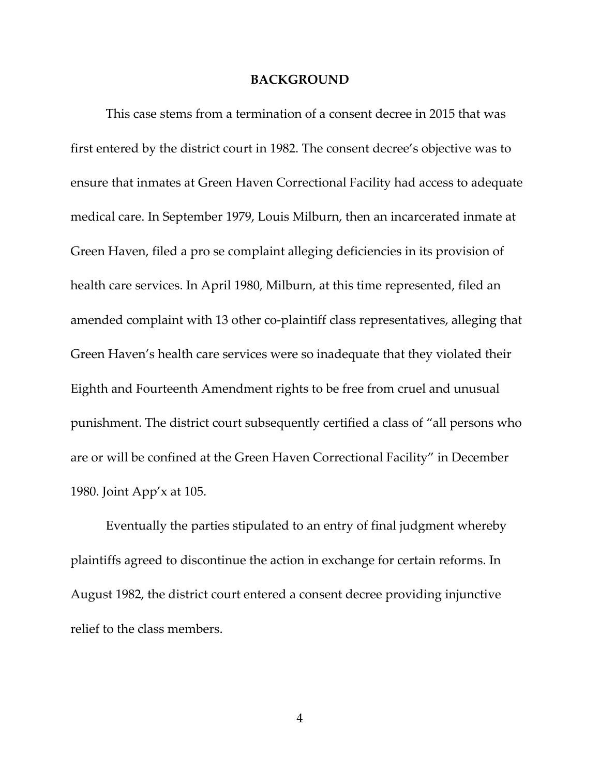#### **BACKGROUND**

This case stems from a termination of a consent decree in 2015 that was first entered by the district court in 1982. The consent decree's objective was to ensure that inmates at Green Haven Correctional Facility had access to adequate medical care. In September 1979, Louis Milburn, then an incarcerated inmate at Green Haven, filed a pro se complaint alleging deficiencies in its provision of health care services. In April 1980, Milburn, at this time represented, filed an amended complaint with 13 other co-plaintiff class representatives, alleging that Green Haven's health care services were so inadequate that they violated their Eighth and Fourteenth Amendment rights to be free from cruel and unusual punishment. The district court subsequently certified a class of "all persons who are or will be confined at the Green Haven Correctional Facility" in December 1980. Joint App'x at 105.

Eventually the parties stipulated to an entry of final judgment whereby plaintiffs agreed to discontinue the action in exchange for certain reforms. In August 1982, the district court entered a consent decree providing injunctive relief to the class members.

4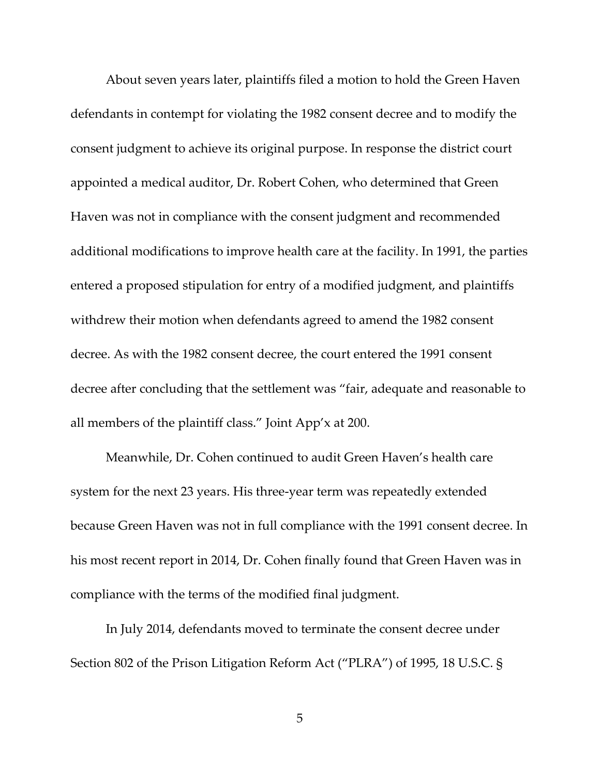About seven years later, plaintiffs filed a motion to hold the Green Haven defendants in contempt for violating the 1982 consent decree and to modify the consent judgment to achieve its original purpose. In response the district court appointed a medical auditor, Dr. Robert Cohen, who determined that Green Haven was not in compliance with the consent judgment and recommended additional modifications to improve health care at the facility. In 1991, the parties entered a proposed stipulation for entry of a modified judgment, and plaintiffs withdrew their motion when defendants agreed to amend the 1982 consent decree. As with the 1982 consent decree, the court entered the 1991 consent decree after concluding that the settlement was "fair, adequate and reasonable to all members of the plaintiff class." Joint App'x at 200.

Meanwhile, Dr. Cohen continued to audit Green Haven's health care system for the next 23 years. His three‐year term was repeatedly extended because Green Haven was not in full compliance with the 1991 consent decree. In his most recent report in 2014, Dr. Cohen finally found that Green Haven was in compliance with the terms of the modified final judgment.

In July 2014, defendants moved to terminate the consent decree under Section 802 of the Prison Litigation Reform Act ("PLRA") of 1995, 18 U.S.C. §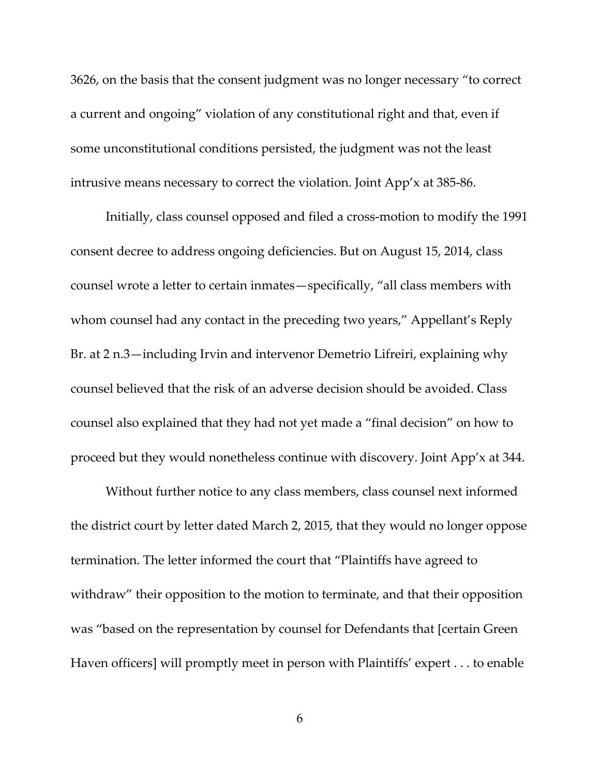3626, on the basis that the consent judgment was no longer necessary "to correct a current and ongoing" violation of any constitutional right and that, even if some unconstitutional conditions persisted, the judgment was not the least intrusive means necessary to correct the violation. Joint App'x at 385‐86.

Initially, class counsel opposed and filed a cross-motion to modify the 1991 consent decree to address ongoing deficiencies. But on August 15, 2014, class counsel wrote a letter to certain inmates—specifically, "all class members with whom counsel had any contact in the preceding two years," Appellant's Reply Br. at 2 n.3—including Irvin and intervenor Demetrio Lifreiri, explaining why counsel believed that the risk of an adverse decision should be avoided. Class counsel also explained that they had not yet made a "final decision" on how to proceed but they would nonetheless continue with discovery. Joint App'x at 344.

Without further notice to any class members, class counsel next informed the district court by letter dated March 2, 2015, that they would no longer oppose termination. The letter informed the court that "Plaintiffs have agreed to withdraw" their opposition to the motion to terminate, and that their opposition was "based on the representation by counsel for Defendants that [certain Green Haven officers] will promptly meet in person with Plaintiffs' expert . . . to enable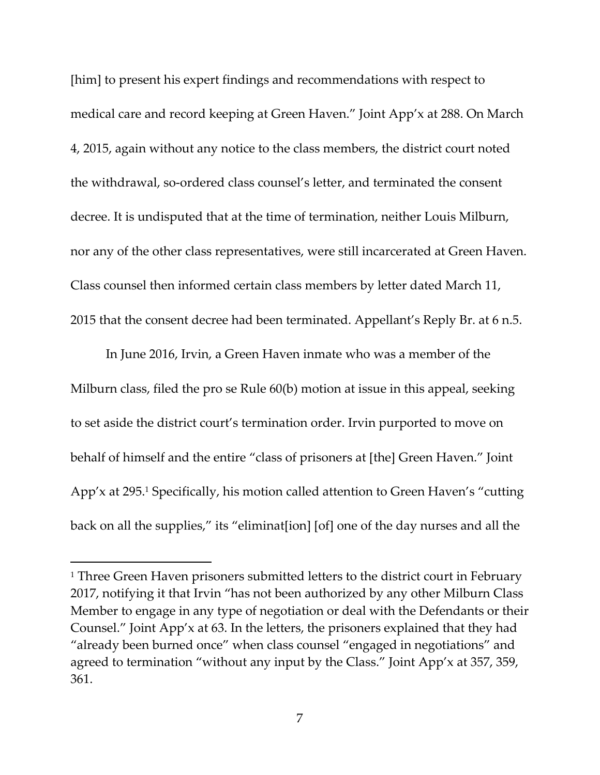[him] to present his expert findings and recommendations with respect to medical care and record keeping at Green Haven." Joint App'x at 288. On March 4, 2015, again without any notice to the class members, the district court noted the withdrawal, so‐ordered class counsel's letter, and terminated the consent decree. It is undisputed that at the time of termination, neither Louis Milburn, nor any of the other class representatives, were still incarcerated at Green Haven. Class counsel then informed certain class members by letter dated March 11, 2015 that the consent decree had been terminated. Appellant's Reply Br. at 6 n.5.

In June 2016, Irvin, a Green Haven inmate who was a member of the Milburn class, filed the pro se Rule 60(b) motion at issue in this appeal, seeking to set aside the district court's termination order. Irvin purported to move on behalf of himself and the entire "class of prisoners at [the] Green Haven." Joint App'x at 295.1 Specifically, his motion called attention to Green Haven's "cutting back on all the supplies," its "eliminat[ion] [of] one of the day nurses and all the

<sup>&</sup>lt;sup>1</sup> Three Green Haven prisoners submitted letters to the district court in February 2017, notifying it that Irvin "has not been authorized by any other Milburn Class Member to engage in any type of negotiation or deal with the Defendants or their Counsel." Joint App'x at 63. In the letters, the prisoners explained that they had "already been burned once" when class counsel "engaged in negotiations" and agreed to termination "without any input by the Class." Joint App'x at 357, 359, 361.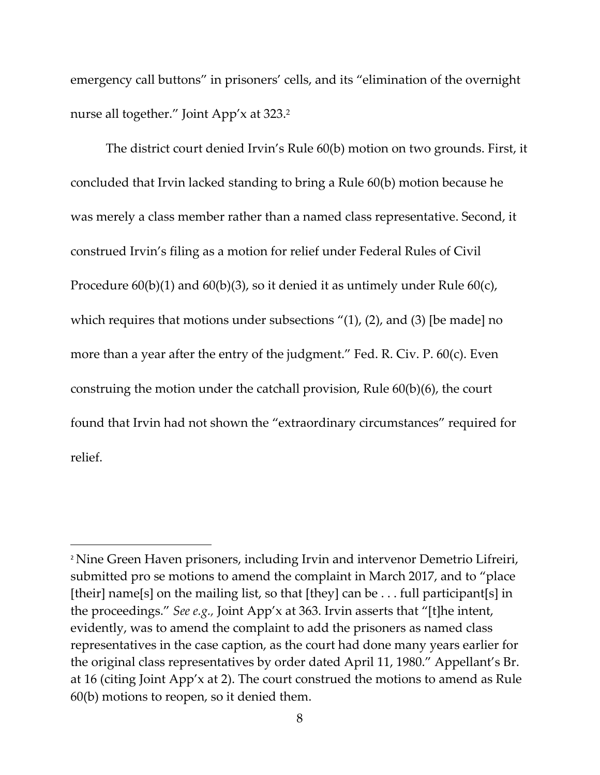emergency call buttons" in prisoners' cells, and its "elimination of the overnight nurse all together." Joint App'x at 323.<sup>2</sup>

The district court denied Irvin's Rule 60(b) motion on two grounds. First, it concluded that Irvin lacked standing to bring a Rule 60(b) motion because he was merely a class member rather than a named class representative. Second, it construed Irvin's filing as a motion for relief under Federal Rules of Civil Procedure 60(b)(1) and 60(b)(3), so it denied it as untimely under Rule 60(c), which requires that motions under subsections "(1), (2), and (3) [be made] no more than a year after the entry of the judgment." Fed. R. Civ. P. 60(c). Even construing the motion under the catchall provision, Rule 60(b)(6), the court found that Irvin had not shown the "extraordinary circumstances" required for relief.

<sup>2</sup> Nine Green Haven prisoners, including Irvin and intervenor Demetrio Lifreiri, submitted pro se motions to amend the complaint in March 2017, and to "place [their] name[s] on the mailing list, so that [they] can be . . . full participant[s] in the proceedings." *See e.g.,* Joint App'x at 363. Irvin asserts that "[t]he intent, evidently, was to amend the complaint to add the prisoners as named class representatives in the case caption, as the court had done many years earlier for the original class representatives by order dated April 11, 1980." Appellant's Br. at 16 (citing Joint App'x at 2). The court construed the motions to amend as Rule 60(b) motions to reopen, so it denied them.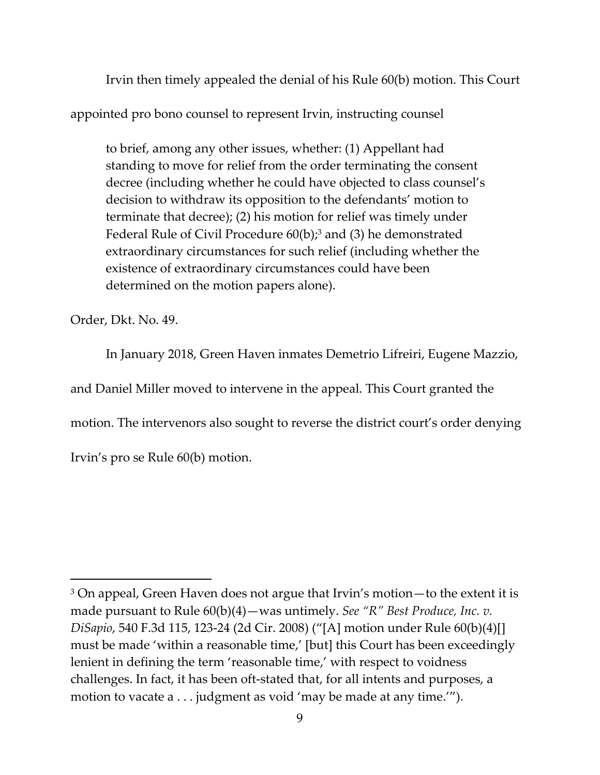Irvin then timely appealed the denial of his Rule 60(b) motion. This Court

appointed pro bono counsel to represent Irvin, instructing counsel

to brief, among any other issues, whether: (1) Appellant had standing to move for relief from the order terminating the consent decree (including whether he could have objected to class counsel's decision to withdraw its opposition to the defendants' motion to terminate that decree); (2) his motion for relief was timely under Federal Rule of Civil Procedure  $60(b)$ ;<sup>3</sup> and (3) he demonstrated extraordinary circumstances for such relief (including whether the existence of extraordinary circumstances could have been determined on the motion papers alone).

Order, Dkt. No. 49.

In January 2018, Green Haven inmates Demetrio Lifreiri, Eugene Mazzio,

and Daniel Miller moved to intervene in the appeal. This Court granted the

motion. The intervenors also sought to reverse the district court's order denying

Irvin's pro se Rule 60(b) motion.

<sup>3</sup> On appeal, Green Haven does not argue that Irvin's motion—to the extent it is made pursuant to Rule 60(b)(4)—was untimely. *See "R" Best Produce, Inc. v. DiSapio*, 540 F.3d 115, 123‐24 (2d Cir. 2008) ("[A] motion under Rule 60(b)(4)[] must be made 'within a reasonable time,' [but] this Court has been exceedingly lenient in defining the term 'reasonable time,' with respect to voidness challenges. In fact, it has been oft‐stated that, for all intents and purposes, a motion to vacate a . . . judgment as void 'may be made at any time.'").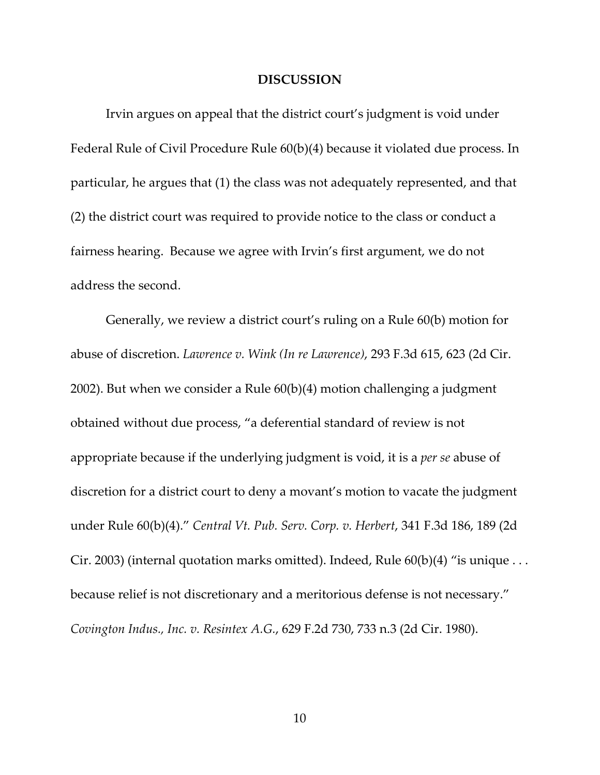#### **DISCUSSION**

Irvin argues on appeal that the district court's judgment is void under Federal Rule of Civil Procedure Rule 60(b)(4) because it violated due process. In particular, he argues that (1) the class was not adequately represented, and that (2) the district court was required to provide notice to the class or conduct a fairness hearing. Because we agree with Irvin's first argument, we do not address the second.

Generally, we review a district court's ruling on a Rule 60(b) motion for abuse of discretion. *Lawrence v. Wink (In re Lawrence)*, 293 F.3d 615, 623 (2d Cir. 2002). But when we consider a Rule 60(b)(4) motion challenging a judgment obtained without due process, "a deferential standard of review is not appropriate because if the underlying judgment is void, it is a *per se* abuse of discretion for a district court to deny a movant's motion to vacate the judgment under Rule 60(b)(4)." *Central Vt. Pub. Serv. Corp. v. Herbert*, 341 F.3d 186, 189 (2d Cir. 2003) (internal quotation marks omitted). Indeed, Rule  $60(b)(4)$  "is unique ... because relief is not discretionary and a meritorious defense is not necessary." *Covington Indus., Inc. v. Resintex A.G.*, 629 F.2d 730, 733 n.3 (2d Cir. 1980).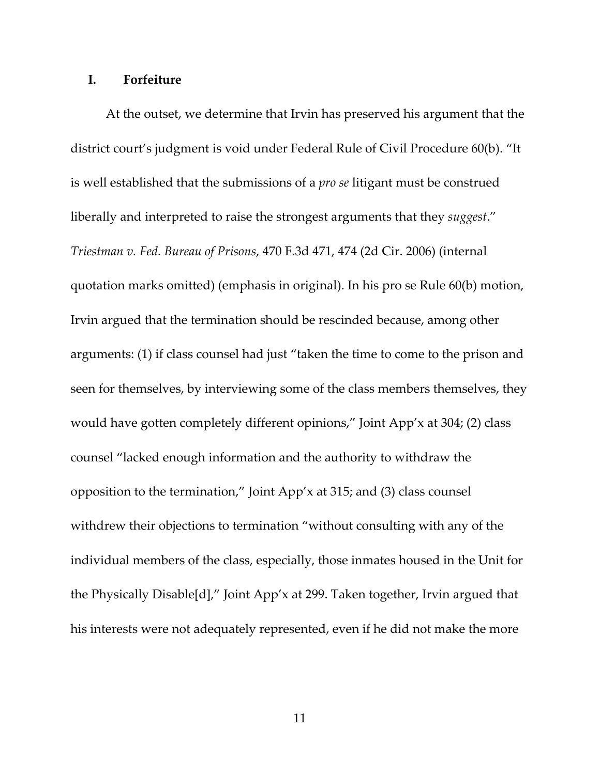### **I. Forfeiture**

At the outset, we determine that Irvin has preserved his argument that the district court's judgment is void under Federal Rule of Civil Procedure 60(b). "It is well established that the submissions of a *pro se* litigant must be construed liberally and interpreted to raise the strongest arguments that they *suggest*." *Triestman v. Fed. Bureau of Prisons*, 470 F.3d 471, 474 (2d Cir. 2006) (internal quotation marks omitted) (emphasis in original). In his pro se Rule 60(b) motion, Irvin argued that the termination should be rescinded because, among other arguments: (1) if class counsel had just "taken the time to come to the prison and seen for themselves, by interviewing some of the class members themselves, they would have gotten completely different opinions," Joint App'x at 304; (2) class counsel "lacked enough information and the authority to withdraw the opposition to the termination," Joint App'x at 315; and (3) class counsel withdrew their objections to termination "without consulting with any of the individual members of the class, especially, those inmates housed in the Unit for the Physically Disable[d]," Joint App'x at 299. Taken together, Irvin argued that his interests were not adequately represented, even if he did not make the more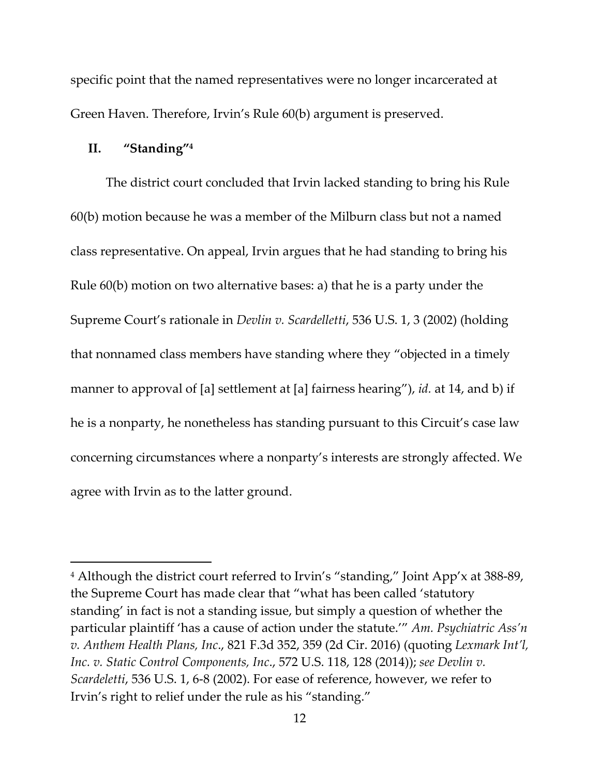specific point that the named representatives were no longer incarcerated at Green Haven. Therefore, Irvin's Rule 60(b) argument is preserved.

#### **II. "Standing"4**

The district court concluded that Irvin lacked standing to bring his Rule 60(b) motion because he was a member of the Milburn class but not a named class representative. On appeal, Irvin argues that he had standing to bring his Rule 60(b) motion on two alternative bases: a) that he is a party under the Supreme Court's rationale in *Devlin v. Scardelletti*, 536 U.S. 1, 3 (2002) (holding that nonnamed class members have standing where they "objected in a timely manner to approval of [a] settlement at [a] fairness hearing"), *id.* at 14, and b) if he is a nonparty, he nonetheless has standing pursuant to this Circuit's case law concerning circumstances where a nonparty's interests are strongly affected. We agree with Irvin as to the latter ground.

<sup>&</sup>lt;sup>4</sup> Although the district court referred to Irvin's "standing," Joint App'x at 388-89, the Supreme Court has made clear that "what has been called 'statutory standing' in fact is not a standing issue, but simply a question of whether the particular plaintiff 'has a cause of action under the statute.'" *Am. Psychiatric Ass'n v. Anthem Health Plans, Inc*., 821 F.3d 352, 359 (2d Cir. 2016) (quoting *Lexmark Int'l, Inc. v. Static Control Components, Inc*., 572 U.S. 118, 128 (2014)); *see Devlin v. Scardeletti*, 536 U.S. 1, 6‐8 (2002). For ease of reference, however, we refer to Irvin's right to relief under the rule as his "standing."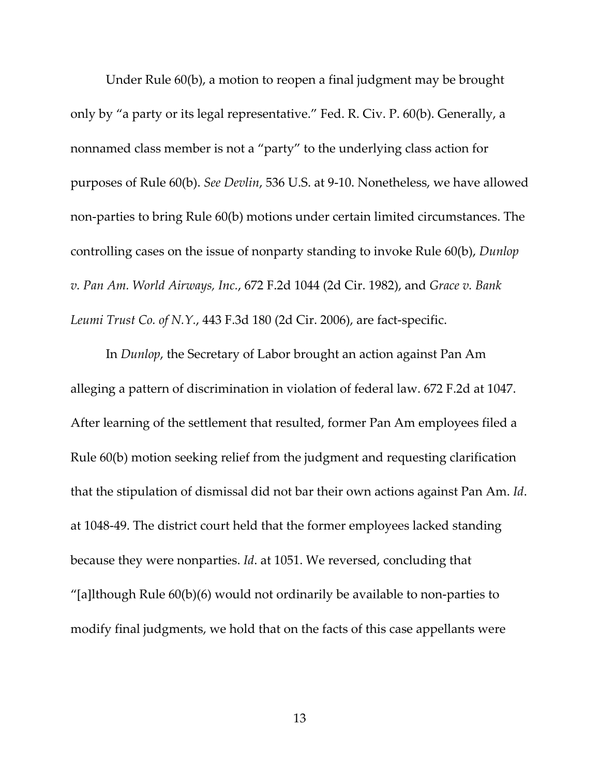Under Rule 60(b), a motion to reopen a final judgment may be brought only by "a party or its legal representative." Fed. R. Civ. P. 60(b). Generally, a nonnamed class member is not a "party" to the underlying class action for purposes of Rule 60(b). *See Devlin*, 536 U.S. at 9‐10. Nonetheless, we have allowed non‐parties to bring Rule 60(b) motions under certain limited circumstances. The controlling cases on the issue of nonparty standing to invoke Rule 60(b), *Dunlop v. Pan Am. World Airways, Inc.*, 672 F.2d 1044 (2d Cir. 1982), and *Grace v. Bank Leumi Trust Co. of N.Y.*, 443 F.3d 180 (2d Cir. 2006), are fact‐specific.

In *Dunlop*, the Secretary of Labor brought an action against Pan Am alleging a pattern of discrimination in violation of federal law. 672 F.2d at 1047. After learning of the settlement that resulted, former Pan Am employees filed a Rule 60(b) motion seeking relief from the judgment and requesting clarification that the stipulation of dismissal did not bar their own actions against Pan Am. *Id*. at 1048‐49. The district court held that the former employees lacked standing because they were nonparties. *Id*. at 1051. We reversed, concluding that "[a]lthough Rule  $60(b)(6)$  would not ordinarily be available to non-parties to modify final judgments, we hold that on the facts of this case appellants were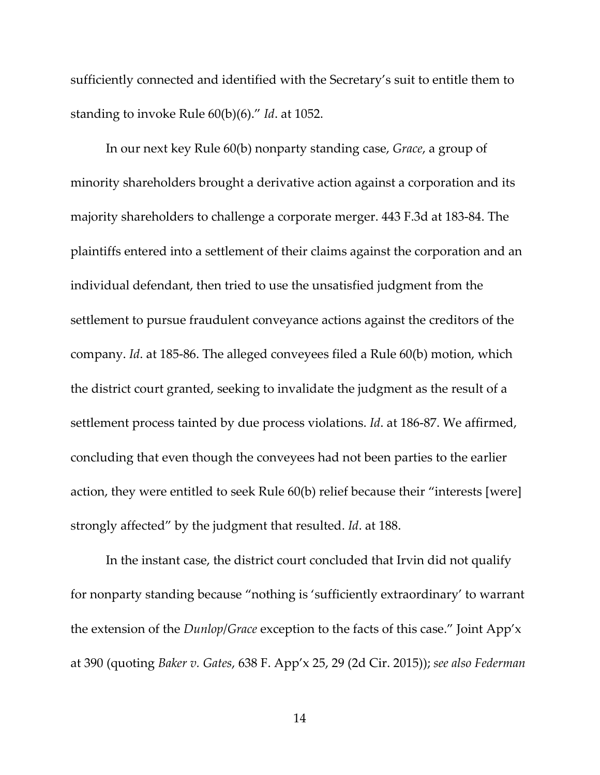sufficiently connected and identified with the Secretary's suit to entitle them to standing to invoke Rule 60(b)(6)." *Id*. at 1052.

In our next key Rule 60(b) nonparty standing case, *Grace*, a group of minority shareholders brought a derivative action against a corporation and its majority shareholders to challenge a corporate merger. 443 F.3d at 183‐84. The plaintiffs entered into a settlement of their claims against the corporation and an individual defendant, then tried to use the unsatisfied judgment from the settlement to pursue fraudulent conveyance actions against the creditors of the company. *Id*. at 185‐86. The alleged conveyees filed a Rule 60(b) motion, which the district court granted, seeking to invalidate the judgment as the result of a settlement process tainted by due process violations. *Id*. at 186‐87. We affirmed, concluding that even though the conveyees had not been parties to the earlier action, they were entitled to seek Rule 60(b) relief because their "interests [were] strongly affected" by the judgment that resulted. *Id*. at 188.

In the instant case, the district court concluded that Irvin did not qualify for nonparty standing because "nothing is 'sufficiently extraordinary' to warrant the extension of the *Dunlop*/*Grace* exception to the facts of this case." Joint App'x at 390 (quoting *Baker v. Gates*, 638 F. App'x 25, 29 (2d Cir. 2015)); *see also Federman*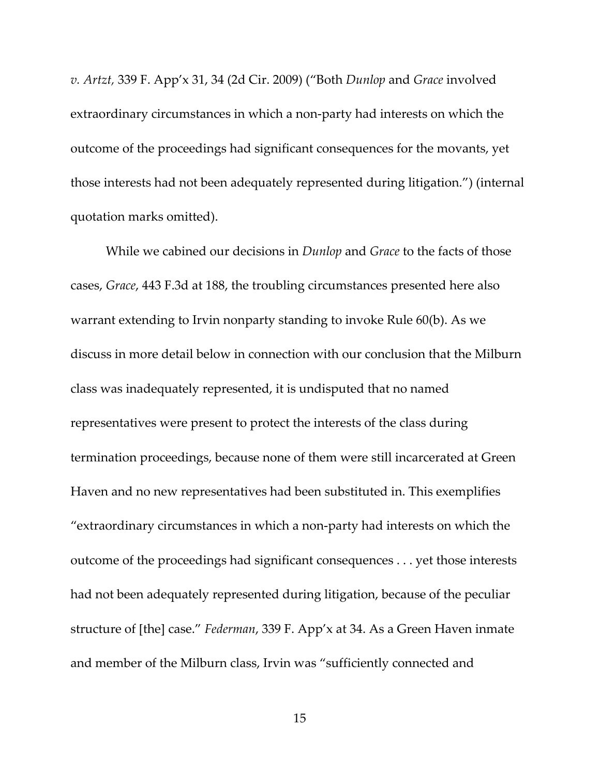*v. Artzt,* 339 F. App'x 31, 34 (2d Cir. 2009) ("Both *Dunlop* and *Grace* involved extraordinary circumstances in which a non‐party had interests on which the outcome of the proceedings had significant consequences for the movants, yet those interests had not been adequately represented during litigation.") (internal quotation marks omitted).

While we cabined our decisions in *Dunlop* and *Grace* to the facts of those cases, *Grace*, 443 F.3d at 188, the troubling circumstances presented here also warrant extending to Irvin nonparty standing to invoke Rule 60(b). As we discuss in more detail below in connection with our conclusion that the Milburn class was inadequately represented, it is undisputed that no named representatives were present to protect the interests of the class during termination proceedings, because none of them were still incarcerated at Green Haven and no new representatives had been substituted in. This exemplifies "extraordinary circumstances in which a non‐party had interests on which the outcome of the proceedings had significant consequences . . . yet those interests had not been adequately represented during litigation, because of the peculiar structure of [the] case." *Federman*, 339 F. App'x at 34. As a Green Haven inmate and member of the Milburn class, Irvin was "sufficiently connected and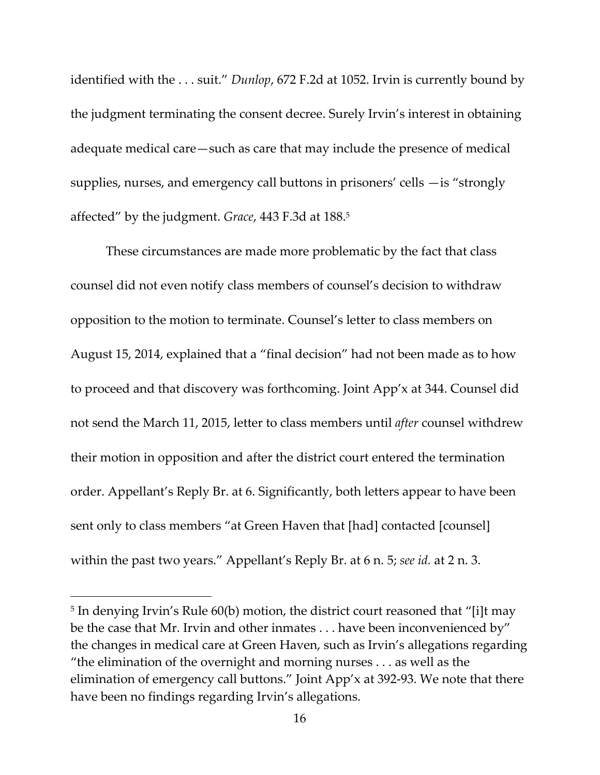identified with the . . . suit." *Dunlop*, 672 F.2d at 1052. Irvin is currently bound by the judgment terminating the consent decree. Surely Irvin's interest in obtaining adequate medical care—such as care that may include the presence of medical supplies, nurses, and emergency call buttons in prisoners' cells —is "strongly affected" by the judgment. *Grace*, 443 F.3d at 188.5

These circumstances are made more problematic by the fact that class counsel did not even notify class members of counsel's decision to withdraw opposition to the motion to terminate. Counsel's letter to class members on August 15, 2014, explained that a "final decision" had not been made as to how to proceed and that discovery was forthcoming. Joint App'x at 344. Counsel did not send the March 11, 2015, letter to class members until *after* counsel withdrew their motion in opposition and after the district court entered the termination order. Appellant's Reply Br. at 6. Significantly, both letters appear to have been sent only to class members "at Green Haven that [had] contacted [counsel] within the past two years." Appellant's Reply Br. at 6 n. 5; *see id.* at 2 n. 3.

<sup>&</sup>lt;sup>5</sup> In denying Irvin's Rule 60(b) motion, the district court reasoned that "[i]t may be the case that Mr. Irvin and other inmates . . . have been inconvenienced by" the changes in medical care at Green Haven, such as Irvin's allegations regarding "the elimination of the overnight and morning nurses . . . as well as the elimination of emergency call buttons." Joint App'x at 392‐93. We note that there have been no findings regarding Irvin's allegations.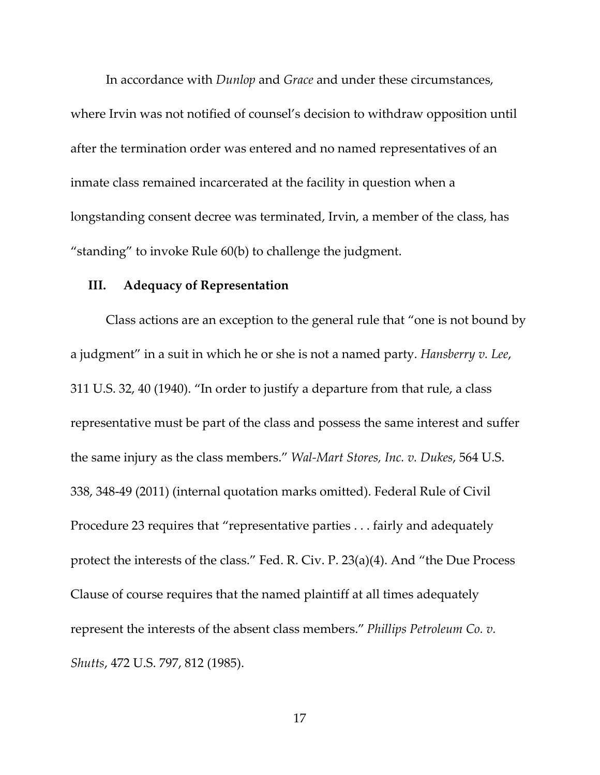In accordance with *Dunlop* and *Grace* and under these circumstances, where Irvin was not notified of counsel's decision to withdraw opposition until after the termination order was entered and no named representatives of an inmate class remained incarcerated at the facility in question when a longstanding consent decree was terminated, Irvin, a member of the class, has "standing" to invoke Rule 60(b) to challenge the judgment.

### **III. Adequacy of Representation**

Class actions are an exception to the general rule that "one is not bound by a judgment" in a suit in which he or she is not a named party. *Hansberry v. Lee*, 311 U.S. 32, 40 (1940). "In order to justify a departure from that rule, a class representative must be part of the class and possess the same interest and suffer the same injury as the class members." *Wal‐Mart Stores, Inc. v. Dukes*, 564 U.S. 338, 348‐49 (2011) (internal quotation marks omitted). Federal Rule of Civil Procedure 23 requires that "representative parties . . . fairly and adequately protect the interests of the class." Fed. R. Civ. P. 23(a)(4). And "the Due Process Clause of course requires that the named plaintiff at all times adequately represent the interests of the absent class members." *Phillips Petroleum Co. v. Shutts*, 472 U.S. 797, 812 (1985).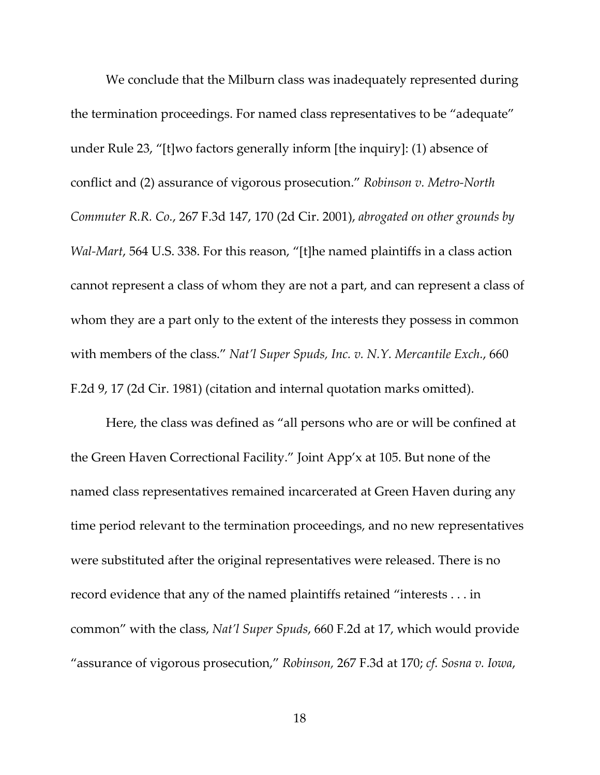We conclude that the Milburn class was inadequately represented during the termination proceedings. For named class representatives to be "adequate" under Rule 23, "[t]wo factors generally inform [the inquiry]: (1) absence of conflict and (2) assurance of vigorous prosecution." *Robinson v. Metro‐North Commuter R.R. Co.*, 267 F.3d 147, 170 (2d Cir. 2001), *abrogated on other grounds by Wal‐Mart*, 564 U.S. 338. For this reason, "[t]he named plaintiffs in a class action cannot represent a class of whom they are not a part, and can represent a class of whom they are a part only to the extent of the interests they possess in common with members of the class." *Nat'l Super Spuds, Inc. v. N.Y. Mercantile Exch.*, 660 F.2d 9, 17 (2d Cir. 1981) (citation and internal quotation marks omitted).

Here, the class was defined as "all persons who are or will be confined at the Green Haven Correctional Facility." Joint App'x at 105. But none of the named class representatives remained incarcerated at Green Haven during any time period relevant to the termination proceedings, and no new representatives were substituted after the original representatives were released. There is no record evidence that any of the named plaintiffs retained "interests . . . in common" with the class, *Nat'l Super Spuds*, 660 F.2d at 17, which would provide "assurance of vigorous prosecution," *Robinson,* 267 F.3d at 170; *cf. Sosna v. Iowa*,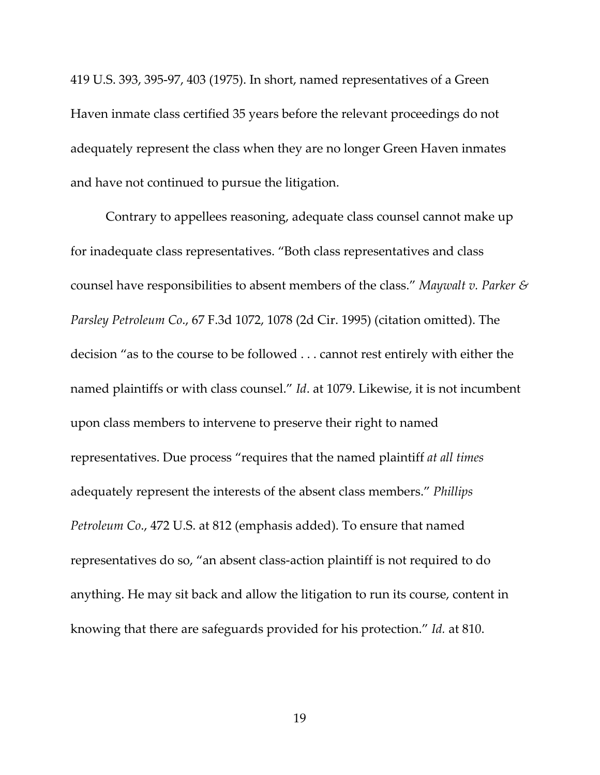419 U.S. 393, 395‐97, 403 (1975). In short, named representatives of a Green Haven inmate class certified 35 years before the relevant proceedings do not adequately represent the class when they are no longer Green Haven inmates and have not continued to pursue the litigation.

Contrary to appellees reasoning, adequate class counsel cannot make up for inadequate class representatives. "Both class representatives and class counsel have responsibilities to absent members of the class." *Maywalt v. Parker & Parsley Petroleum Co*., 67 F.3d 1072, 1078 (2d Cir. 1995) (citation omitted). The decision "as to the course to be followed . . . cannot rest entirely with either the named plaintiffs or with class counsel." *Id*. at 1079. Likewise, it is not incumbent upon class members to intervene to preserve their right to named representatives. Due process "requires that the named plaintiff *at all times* adequately represent the interests of the absent class members." *Phillips Petroleum Co*., 472 U.S. at 812 (emphasis added). To ensure that named representatives do so, "an absent class‐action plaintiff is not required to do anything. He may sit back and allow the litigation to run its course, content in knowing that there are safeguards provided for his protection." *Id.* at 810.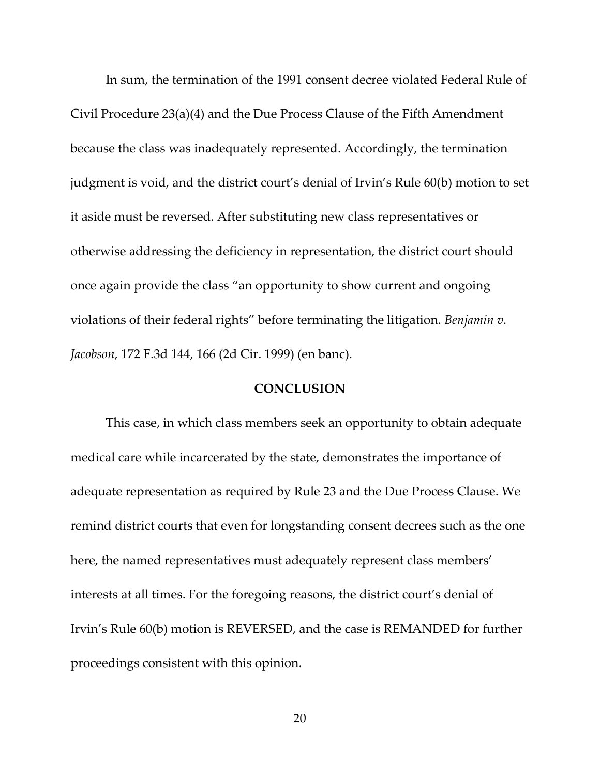In sum, the termination of the 1991 consent decree violated Federal Rule of Civil Procedure 23(a)(4) and the Due Process Clause of the Fifth Amendment because the class was inadequately represented. Accordingly, the termination judgment is void, and the district court's denial of Irvin's Rule 60(b) motion to set it aside must be reversed. After substituting new class representatives or otherwise addressing the deficiency in representation, the district court should once again provide the class "an opportunity to show current and ongoing violations of their federal rights" before terminating the litigation. *Benjamin v. Jacobson*, 172 F.3d 144, 166 (2d Cir. 1999) (en banc).

### **CONCLUSION**

This case, in which class members seek an opportunity to obtain adequate medical care while incarcerated by the state, demonstrates the importance of adequate representation as required by Rule 23 and the Due Process Clause. We remind district courts that even for longstanding consent decrees such as the one here, the named representatives must adequately represent class members' interests at all times. For the foregoing reasons, the district court's denial of Irvin's Rule 60(b) motion is REVERSED, and the case is REMANDED for further proceedings consistent with this opinion.